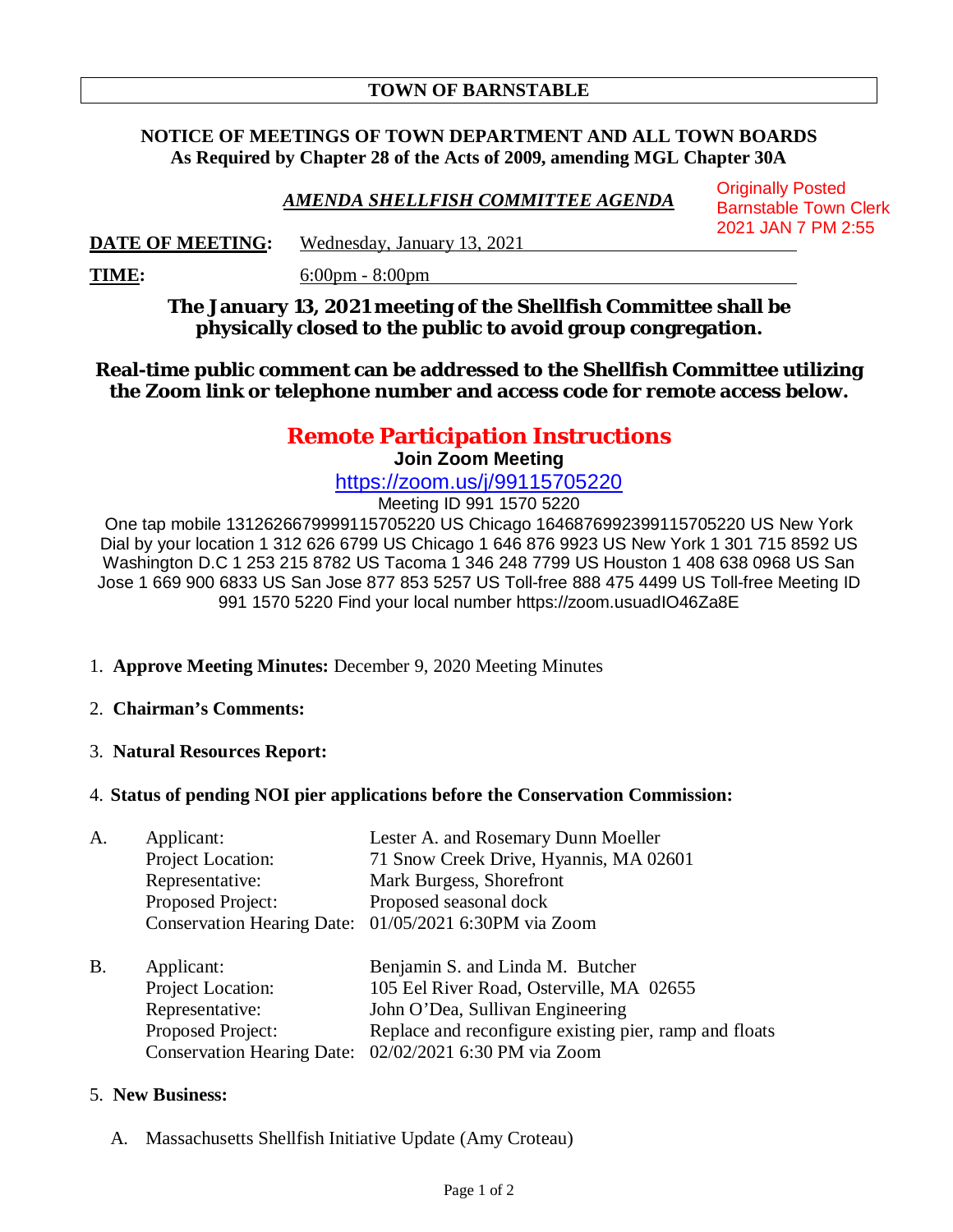## **TOWN OF BARNSTABLE**

## **NOTICE OF MEETINGS OF TOWN DEPARTMENT AND ALL TOWN BOARDS As Required by Chapter 28 of the Acts of 2009, amending MGL Chapter 30A**

*AMENDA SHELLFISH COMMITTEE AGENDA* Originally Posted Barnstable Town Clerk 2021 JAN 7 PM 2:55

**DATE OF MEETING:** Wednesday, January 13, 2021

**TIME:** 6:00pm - 8:00pm

**The January 13, 2021 meeting of the Shellfish Committee shall be physically closed to the public to avoid group congregation.**

**Real-time public comment can be addressed to the Shellfish Committee utilizing the Zoom link or telephone number and access code for remote access below.**

# **Remote Participation Instructions**

**Join Zoom Meeting**

https://zoom.us/j/99115705220

Meeting ID 991 1570 5220

One tap mobile 1312626679999115705220 US Chicago 1646876992399115705220 US New York Dial by your location 1 312 626 6799 US Chicago 1 646 876 9923 US New York 1 301 715 8592 US Washington D.C 1 253 215 8782 US Tacoma 1 346 248 7799 US Houston 1 408 638 0968 US San Jose 1 669 900 6833 US San Jose 877 853 5257 US Toll-free 888 475 4499 US Toll-free Meeting ID 991 1570 5220 Find your local number https://zoom.usuadIO46Za8E

- 1. **Approve Meeting Minutes:** December 9, 2020 Meeting Minutes
- 2. **Chairman's Comments:**
- 3. **Natural Resources Report:**
- 4. **Status of pending NOI pier applications before the Conservation Commission:**

A. Applicant: Lester A. and Rosemary Dunn Moeller

|    | Project Location: | 71 Snow Creek Drive, Hyannis, MA 02601                 |
|----|-------------------|--------------------------------------------------------|
|    | Representative:   | Mark Burgess, Shorefront                               |
|    | Proposed Project: | Proposed seasonal dock                                 |
|    |                   | Conservation Hearing Date: 01/05/2021 6:30PM via Zoom  |
| Β. | Applicant:        | Benjamin S. and Linda M. Butcher                       |
|    | Project Location: | 105 Eel River Road, Osterville, MA 02655               |
|    | Representative:   | John O'Dea, Sullivan Engineering                       |
|    | Proposed Project: | Replace and reconfigure existing pier, ramp and floats |
|    |                   | Conservation Hearing Date: 02/02/2021 6:30 PM via Zoom |

#### 5. **New Business:**

A. Massachusetts Shellfish Initiative Update (Amy Croteau)